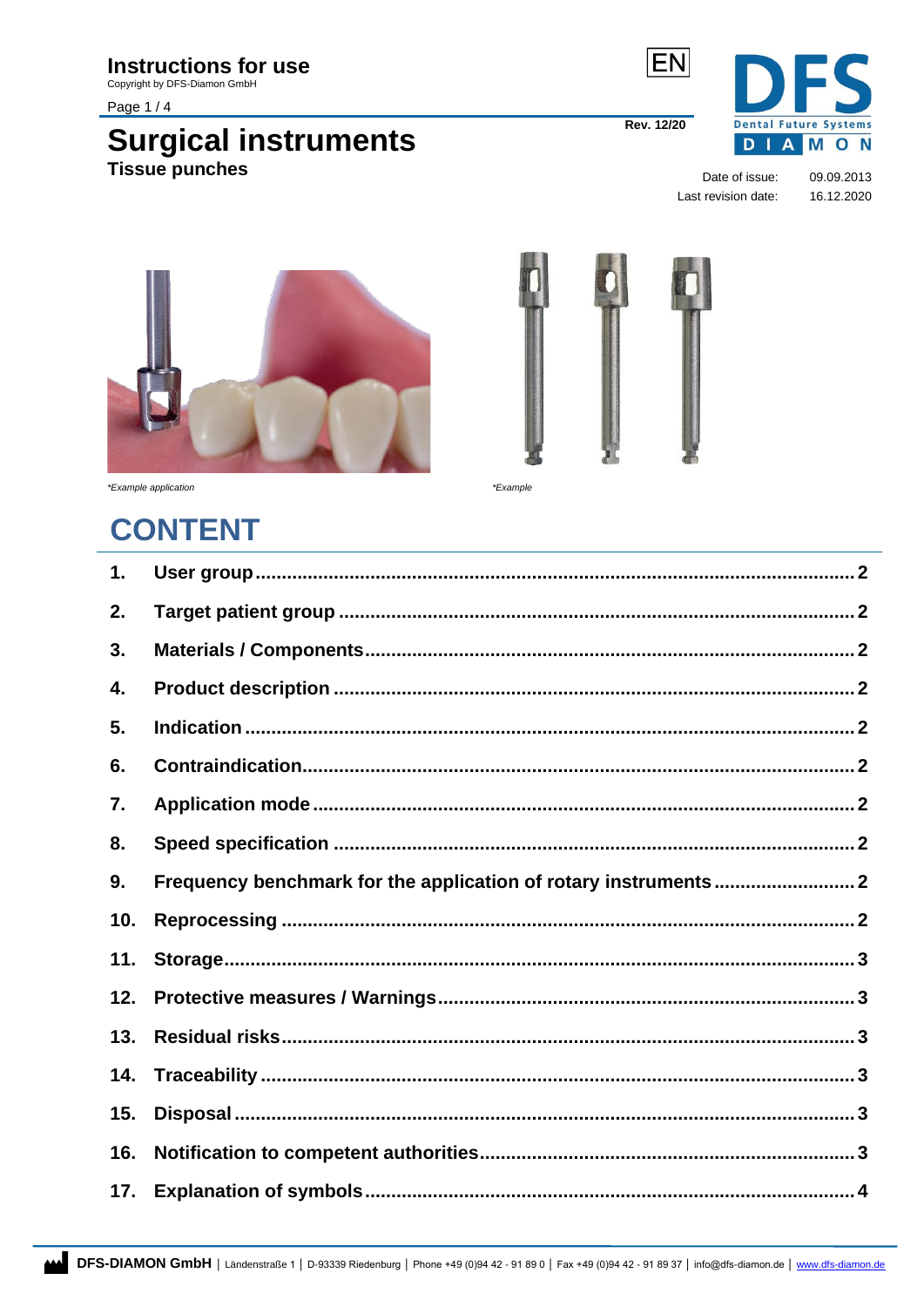### **Instructions for use**

Copyright by DFS-Diamon GmbH

Page 1/4

# **Surgical instruments**<br>Tissue punches



**Rev. 12/20** 

Date of issue: Last revision date:

09.09.2013 16.12.2020



\*Example application

<span id="page-0-0"></span>\*Example

# **CONTENT**

| 1.  |  |
|-----|--|
| 2.  |  |
| 3.  |  |
| 4.  |  |
| 5.  |  |
| 6.  |  |
| 7.  |  |
| 8.  |  |
| 9.  |  |
| 10. |  |
| 11. |  |
| 12. |  |
| 13. |  |
| 14. |  |
| 15. |  |
| 16. |  |
| 17. |  |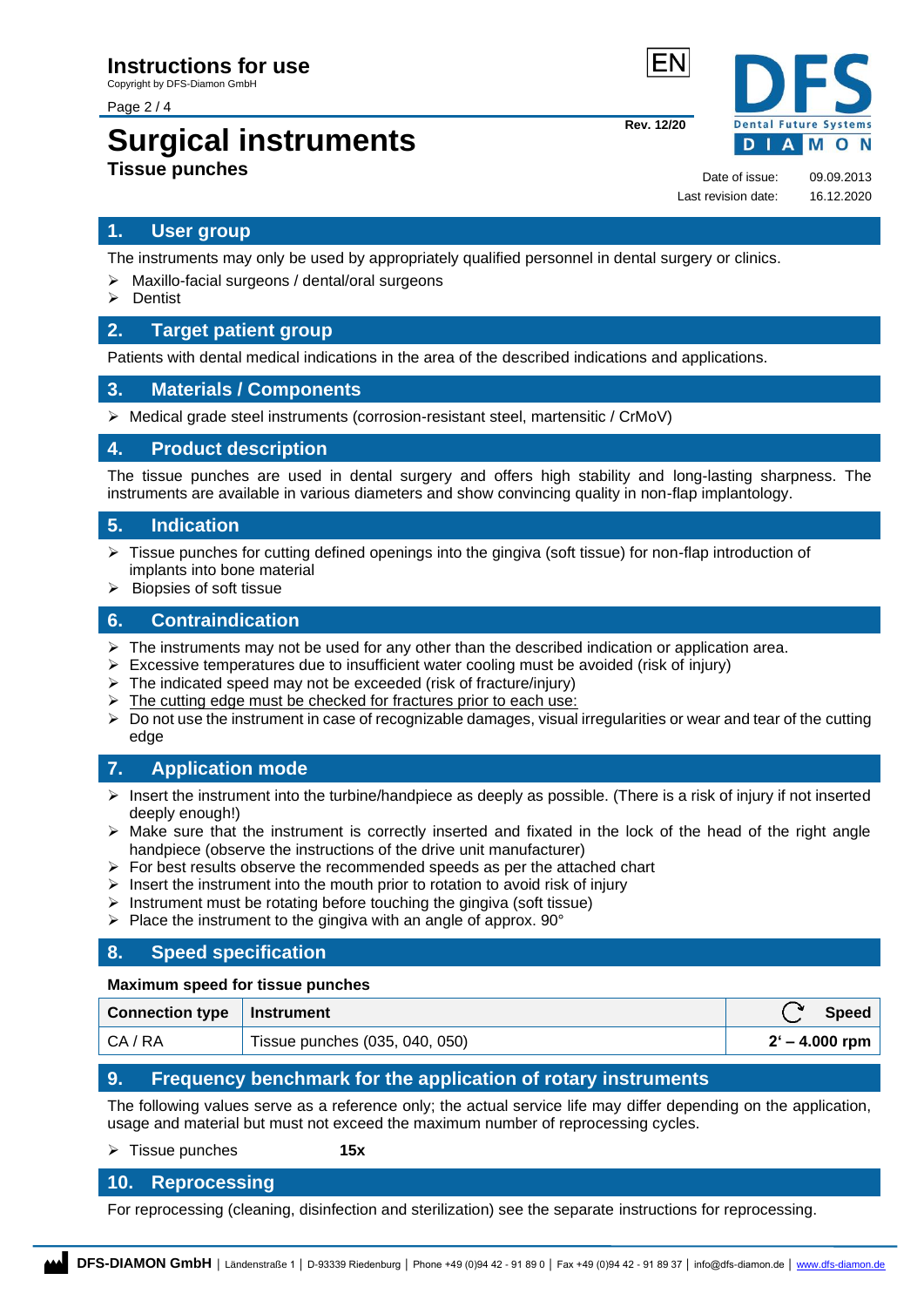Page 2 / 4

# **Surgical instruments Tissue punches**

**Rev. 12/20**

**Dental Future Systems DIAMON** 

Date of issue: 09.09.2013 Last revision date: 16.12.2020

#### **1. User group**

The instruments may only be used by appropriately qualified personnel in dental surgery or clinics.

- ➢ Maxillo-facial surgeons / dental/oral surgeons
- ➢ Dentist

#### <span id="page-1-0"></span>**2. Target patient group**

Patients with dental medical indications in the area of the described indications and applications.

#### <span id="page-1-1"></span>**3. Materials / Components**

 $\triangleright$  Medical grade steel instruments (corrosion-resistant steel, martensitic / CrMoV)

#### <span id="page-1-2"></span>**4. Product description**

The tissue punches are used in dental surgery and offers high stability and long-lasting sharpness. The instruments are available in various diameters and show convincing quality in non-flap implantology.

#### <span id="page-1-3"></span>**5. Indication**

- ➢ Tissue punches for cutting defined openings into the gingiva (soft tissue) for non-flap introduction of implants into bone material
- ➢ Biopsies of soft tissue

#### <span id="page-1-4"></span>**6. Contraindication**

- $\triangleright$  The instruments may not be used for any other than the described indication or application area.
- $\triangleright$  Excessive temperatures due to insufficient water cooling must be avoided (risk of injury)
- $\triangleright$  The indicated speed may not be exceeded (risk of fracture/injury)
- $\triangleright$  The cutting edge must be checked for fractures prior to each use:
- $\triangleright$  Do not use the instrument in case of recognizable damages, visual irregularities or wear and tear of the cutting edge

#### <span id="page-1-5"></span>**7. Application mode**

- $\triangleright$  Insert the instrument into the turbine/handpiece as deeply as possible. (There is a risk of injury if not inserted deeply enough!)
- ➢ Make sure that the instrument is correctly inserted and fixated in the lock of the head of the right angle handpiece (observe the instructions of the drive unit manufacturer)
- $\triangleright$  For best results observe the recommended speeds as per the attached chart
- $\triangleright$  Insert the instrument into the mouth prior to rotation to avoid risk of injury
- $\triangleright$  Instrument must be rotating before touching the gingiva (soft tissue)
- $\triangleright$  Place the instrument to the gingiva with an angle of approx. 90 $^{\circ}$

#### <span id="page-1-6"></span>**8. Speed specification**

#### **Maximum speed for tissue punches**

| Connection type   Instrument |                                | <b>Speed</b>     |
|------------------------------|--------------------------------|------------------|
| CA / RA                      | Tissue punches (035, 040, 050) | $2' - 4.000$ rpm |

#### <span id="page-1-7"></span>**9. Frequency benchmark for the application of rotary instruments**

The following values serve as a reference only; the actual service life may differ depending on the application, usage and material but must not exceed the maximum number of reprocessing cycles.

➢ Tissue punches **15x**

#### <span id="page-1-8"></span>**10. Reprocessing**

For reprocessing (cleaning, disinfection and sterilization) see the separate instructions for reprocessing.

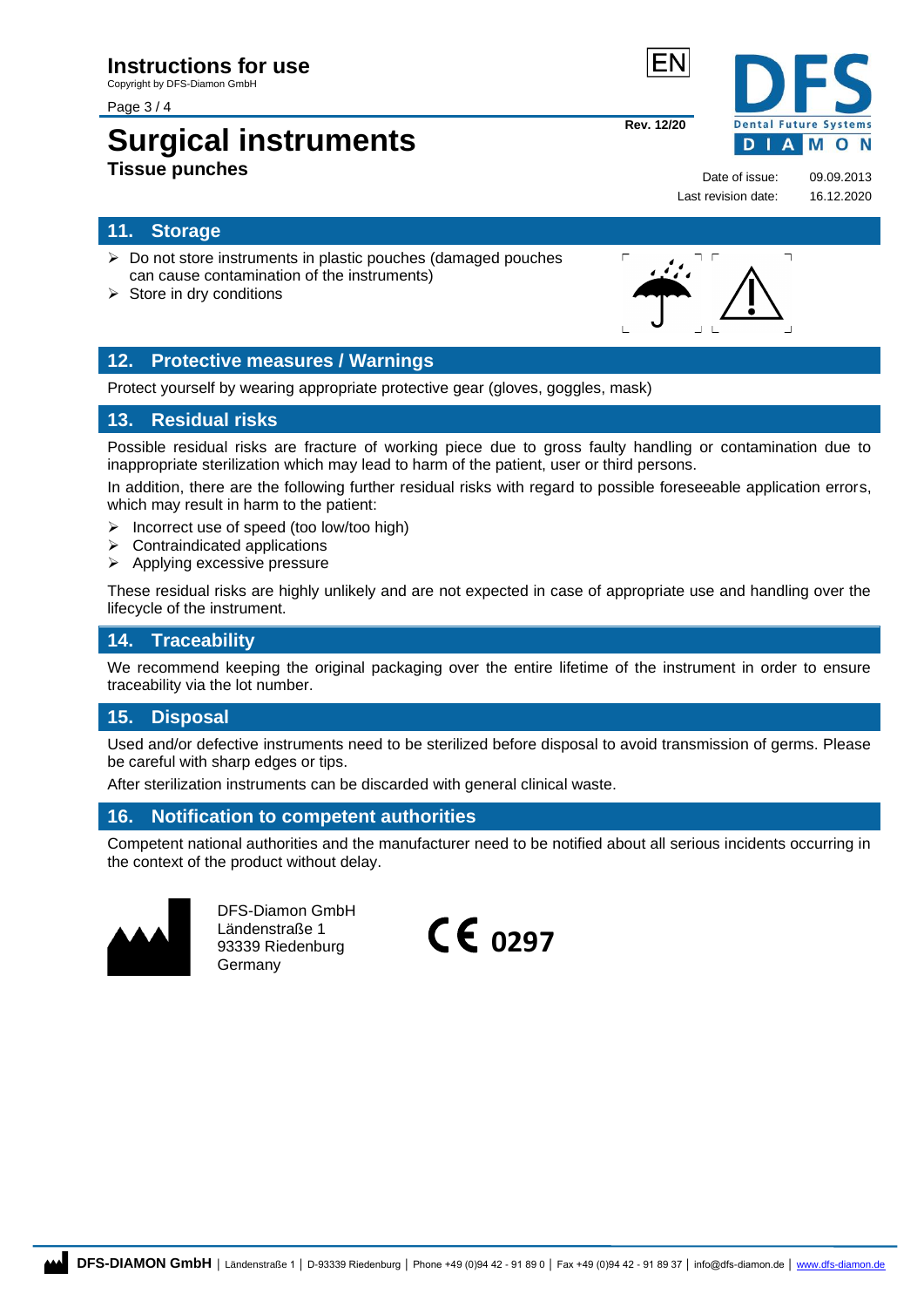Page 3 / 4

# **Surgical instruments Tissue punches**

#### <span id="page-2-0"></span>**11. Storage**

- ➢ Do not store instruments in plastic pouches (damaged pouches can cause contamination of the instruments)
- $\triangleright$  Store in dry conditions

#### <span id="page-2-1"></span>**12. Protective measures / Warnings**

Protect yourself by wearing appropriate protective gear (gloves, goggles, mask)

#### <span id="page-2-2"></span>**13. Residual risks**

Possible residual risks are fracture of working piece due to gross faulty handling or contamination due to inappropriate sterilization which may lead to harm of the patient, user or third persons.

In addition, there are the following further residual risks with regard to possible foreseeable application errors, which may result in harm to the patient:

- ➢ Incorrect use of speed (too low/too high)
- ➢ Contraindicated applications
- ➢ Applying excessive pressure

These residual risks are highly unlikely and are not expected in case of appropriate use and handling over the lifecycle of the instrument.

#### <span id="page-2-3"></span>**14. Traceability**

We recommend keeping the original packaging over the entire lifetime of the instrument in order to ensure traceability via the lot number.

#### <span id="page-2-4"></span>**15. Disposal**

Used and/or defective instruments need to be sterilized before disposal to avoid transmission of germs. Please be careful with sharp edges or tips.

After sterilization instruments can be discarded with general clinical waste.

#### <span id="page-2-5"></span>**16. Notification to competent authorities**

Competent national authorities and the manufacturer need to be notified about all serious incidents occurring in the context of the product without delay.



DFS-Diamon GmbH Ländenstraße 1 93339 Riedenburg Germany







Date of issue: 09.09.2013 Last revision date: 16.12.2020

**Rev. 12/20**